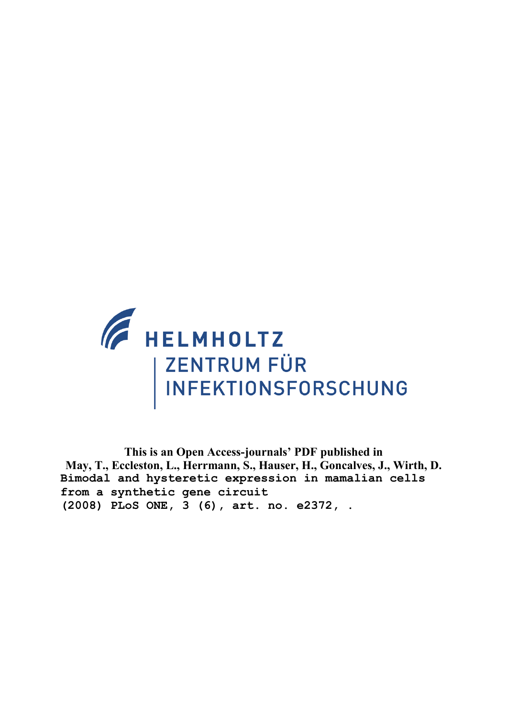

**This is an Open Access-journals' PDF published in May, T., Eccleston, L., Herrmann, S., Hauser, H., Goncalves, J., Wirth, D. Bimodal and hysteretic expression in mamalian cells from a synthetic gene circuit (2008) PLoS ONE, 3 (6), art. no. e2372, .**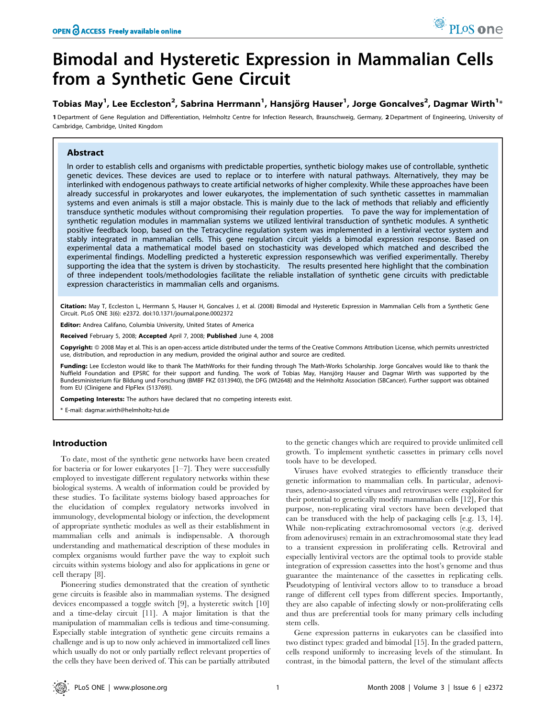# Bimodal and Hysteretic Expression in Mammalian Cells from a Synthetic Gene Circuit

Tobias May<sup>1</sup>, Lee Eccleston<sup>2</sup>, Sabrina Herrmann<sup>1</sup>, Hansjörg Hauser<sup>1</sup>, Jorge Goncalves<sup>2</sup>, Dagmar Wirth<sup>1</sup>\*

1 Department of Gene Regulation and Differentiation, Helmholtz Centre for Infection Research, Braunschweig, Germany, 2 Department of Engineering, University of Cambridge, Cambridge, United Kingdom

# Abstract

In order to establish cells and organisms with predictable properties, synthetic biology makes use of controllable, synthetic genetic devices. These devices are used to replace or to interfere with natural pathways. Alternatively, they may be interlinked with endogenous pathways to create artificial networks of higher complexity. While these approaches have been already successful in prokaryotes and lower eukaryotes, the implementation of such synthetic cassettes in mammalian systems and even animals is still a major obstacle. This is mainly due to the lack of methods that reliably and efficiently transduce synthetic modules without compromising their regulation properties. To pave the way for implementation of synthetic regulation modules in mammalian systems we utilized lentiviral transduction of synthetic modules. A synthetic positive feedback loop, based on the Tetracycline regulation system was implemented in a lentiviral vector system and stably integrated in mammalian cells. This gene regulation circuit yields a bimodal expression response. Based on experimental data a mathematical model based on stochasticity was developed which matched and described the experimental findings. Modelling predicted a hysteretic expression responsewhich was verified experimentally. Thereby supporting the idea that the system is driven by stochasticity. The results presented here highlight that the combination of three independent tools/methodologies facilitate the reliable installation of synthetic gene circuits with predictable expression characteristics in mammalian cells and organisms.

Citation: May T, Eccleston L, Herrmann S, Hauser H, Goncalves J, et al. (2008) Bimodal and Hysteretic Expression in Mammalian Cells from a Synthetic Gene Circuit. PLoS ONE 3(6): e2372. doi:10.1371/journal.pone.0002372

Editor: Andrea Califano, Columbia University, United States of America

Received February 5, 2008; Accepted April 7, 2008; Published June 4, 2008

Copyright: @ 2008 May et al. This is an open-access article distributed under the terms of the Creative Commons Attribution License, which permits unrestricted use, distribution, and reproduction in any medium, provided the original author and source are credited.

Funding: Lee Eccleston would like to thank The MathWorks for their funding through The Math-Works Scholarship. Jorge Goncalves would like to thank the Nuffield Foundation and EPSRC for their support and funding. The work of Tobias May, Hansjörg Hauser and Dagmar Wirth was supported by the Bundesministerium für Bildung und Forschung (BMBF FKZ 0313940), the DFG (WI2648) and the Helmholtz Association (SBCancer). Further support was obtained from EU (Clinigene and FlpFlex (513769)).

Competing Interests: The authors have declared that no competing interests exist.

\* E-mail: dagmar.wirth@helmholtz-hzi.de

# Introduction

To date, most of the synthetic gene networks have been created for bacteria or for lower eukaryotes [1–7]. They were successfully employed to investigate different regulatory networks within these biological systems. A wealth of information could be provided by these studies. To facilitate systems biology based approaches for the elucidation of complex regulatory networks involved in immunology, developmental biology or infection, the development of appropriate synthetic modules as well as their establishment in mammalian cells and animals is indispensable. A thorough understanding and mathematical description of these modules in complex organisms would further pave the way to exploit such circuits within systems biology and also for applications in gene or cell therapy [8].

Pioneering studies demonstrated that the creation of synthetic gene circuits is feasible also in mammalian systems. The designed devices encompassed a toggle switch [9], a hysteretic switch [10] and a time-delay circuit [11]. A major limitation is that the manipulation of mammalian cells is tedious and time-consuming. Especially stable integration of synthetic gene circuits remains a challenge and is up to now only achieved in immortalized cell lines which usually do not or only partially reflect relevant properties of the cells they have been derived of. This can be partially attributed

to the genetic changes which are required to provide unlimited cell growth. To implement synthetic cassettes in primary cells novel tools have to be developed.

Viruses have evolved strategies to efficiently transduce their genetic information to mammalian cells. In particular, adenoviruses, adeno-associated viruses and retroviruses were exploited for their potential to genetically modify mammalian cells [12], For this purpose, non-replicating viral vectors have been developed that can be transduced with the help of packaging cells [e.g. 13, 14]. While non-replicating extrachromosomal vectors (e.g. derived from adenoviruses) remain in an extrachromosomal state they lead to a transient expression in proliferating cells. Retroviral and especially lentiviral vectors are the optimal tools to provide stable integration of expression cassettes into the host's genome and thus guarantee the maintenance of the cassettes in replicating cells. Pseudotyping of lentiviral vectors allow to to transduce a broad range of different cell types from different species. Importantly, they are also capable of infecting slowly or non-proliferating cells and thus are preferential tools for many primary cells including stem cells.

Gene expression patterns in eukaryotes can be classified into two distinct types: graded and bimodal [15]. In the graded pattern, cells respond uniformly to increasing levels of the stimulant. In contrast, in the bimodal pattern, the level of the stimulant affects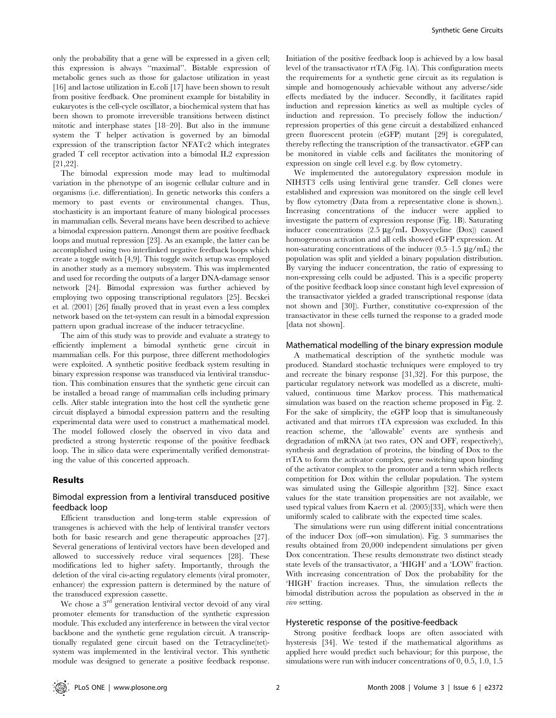only the probability that a gene will be expressed in a given cell; this expression is always ''maximal''. Bistable expression of metabolic genes such as those for galactose utilization in yeast [16] and lactose utilization in E.coli [17] have been shown to result from positive feedback. One prominent example for bistability in eukaryotes is the cell-cycle oscillator, a biochemical system that has been shown to promote irreversible transitions between distinct mitotic and interphase states [18–20]. But also in the immune system the T helper activation is governed by an bimodal expression of the transcription factor NFATc2 which integrates graded T cell receptor activation into a bimodal IL2 expression [21,22].

The bimodal expression mode may lead to multimodal variation in the phenotype of an isogenic cellular culture and in organisms (i.e. differentiation). In genetic networks this confers a memory to past events or environmental changes. Thus, stochasticity is an important feature of many biological processes in mammalian cells. Several means have been described to achieve a bimodal expression pattern. Amongst them are positive feedback loops and mutual repression [23]. As an example, the latter can be accomplished using two interlinked negative feedback loops which create a toggle switch [4,9]. This toggle switch setup was employed in another study as a memory subsystem. This was implemented and used for recording the outputs of a larger DNA-damage sensor network [24]. Bimodal expression was further achieved by employing two opposing transcriptional regulators [25]. Becskei et al. (2001) [26] finally proved that in yeast even a less complex network based on the tet-system can result in a bimodal expression pattern upon gradual increase of the inducer tetracycline.

The aim of this study was to provide and evaluate a strategy to efficiently implement a bimodal synthetic gene circuit in mammalian cells. For this purpose, three different methodologies were exploited. A synthetic positive feedback system resulting in binary expression response was transduced via lentiviral transduction. This combination ensures that the synthetic gene circuit can be installed a broad range of mammalian cells including primary cells. After stable integration into the host cell the synthetic gene circuit displayed a bimodal expression pattern and the resulting experimental data were used to construct a mathematical model. The model followed closely the observed in vivo data and predicted a strong hysteretic response of the positive feedback loop. The in silico data were experimentally verified demonstrating the value of this concerted approach.

#### Results

## Bimodal expression from a lentiviral transduced positive feedback loop

Efficient transduction and long-term stable expression of transgenes is achieved with the help of lentiviral transfer vectors both for basic research and gene therapeutic approaches [27]. Several generations of lentiviral vectors have been developed and allowed to successively reduce viral sequences [28]. These modifications led to higher safety. Importantly, through the deletion of the viral cis-acting regulatory elements (viral promoter, enhancer) the expression pattern is determined by the nature of the transduced expression cassette.

We chose a 3<sup>rd</sup> generation lentiviral vector devoid of any viral promoter elements for transduction of the synthetic expression module. This excluded any interference in between the viral vector backbone and the synthetic gene regulation circuit. A transcriptionally regulated gene circuit based on the Tetracycline(tet) system was implemented in the lentiviral vector. This synthetic module was designed to generate a positive feedback response.

Initiation of the positive feedback loop is achieved by a low basal level of the transactivator rtTA (Fig. 1A). This configuration meets the requirements for a synthetic gene circuit as its regulation is simple and homogenously achievable without any adverse/side effects mediated by the inducer. Secondly, it facilitates rapid induction and repression kinetics as well as multiple cycles of induction and repression. To precisely follow the induction/ repression properties of this gene circuit a destabilized enhanced green fluorescent protein (eGFP) mutant [29] is coregulated, thereby reflecting the transcription of the transactivator. eGFP can be monitored in viable cells and facilitates the monitoring of expression on single cell level e.g. by flow cytometry.

We implemented the autoregulatory expression module in NIH3T3 cells using lentiviral gene transfer. Cell clones were established and expression was monitored on the single cell level by flow cytometry (Data from a representative clone is shown.). Increasing concentrations of the inducer were applied to investigate the pattern of expression response (Fig. 1B). Saturating inducer concentrations  $(2.5 \mu g/mL$  Doxycycline (Dox)) caused homogeneous activation and all cells showed eGFP expression. At non-saturating concentrations of the inducer  $(0.5-1.5 \text{ µg/mL})$  the population was split and yielded a binary population distribution. By varying the inducer concentration, the ratio of expressing to non-expressing cells could be adjusted. This is a specific property of the positive feedback loop since constant high level expression of the transactivator yielded a graded transcriptional response (data not shown and [30]). Further, constitutive co-expression of the transactivator in these cells turned the response to a graded mode [data not shown].

#### Mathematical modelling of the binary expression module

A mathematical description of the synthetic module was produced. Standard stochastic techniques were employed to try and recreate the binary response [31,32]. For this purpose, the particular regulatory network was modelled as a discrete, multivalued, continuous time Markov process. This mathematical simulation was based on the reaction scheme proposed in Fig. 2. For the sake of simplicity, the eGFP loop that is simultaneously activated and that mirrors tTA expression was excluded. In this reaction scheme, the 'allowable' events are synthesis and degradation of mRNA (at two rates, ON and OFF, respectively), synthesis and degradation of proteins, the binding of Dox to the rtTA to form the activator complex, gene switching upon binding of the activator complex to the promoter and a term which reflects competition for Dox within the cellular population. The system was simulated using the Gillespie algorithm [32]. Since exact values for the state transition propensities are not available, we used typical values from Kaern et al. (2005)[33], which were then uniformly scaled to calibrate with the expected time scales.

The simulations were run using different initial concentrations of the inducer Dox (off $\rightarrow$ on simulation). Fig. 3 summarises the results obtained from 20,000 independent simulations per given Dox concentration. These results demonstrate two distinct steady state levels of the transactivator, a 'HIGH' and a 'LOW' fraction. With increasing concentration of Dox the probability for the 'HIGH' fraction increases. Thus, the simulation reflects the bimodal distribution across the population as observed in the in vivo setting.

## Hysteretic response of the positive-feedback

Strong positive feedback loops are often associated with hysteresis [34]. We tested if the mathematical algorithms as applied here would predict such behaviour; for this purpose, the simulations were run with inducer concentrations of 0, 0.5, 1.0, 1.5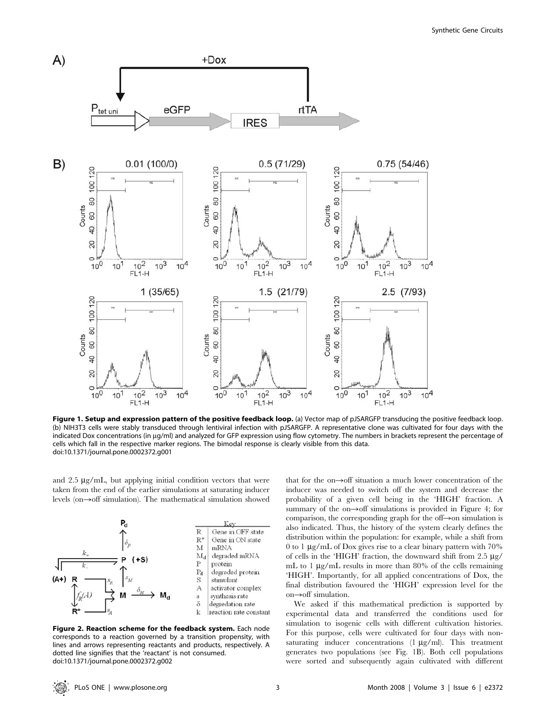

Figure 1. Setup and expression pattern of the positive feedback loop. (a) Vector map of pJSARGFP transducing the positive feedback loop. (b) NIH3T3 cells were stably transduced through lentiviral infection with pJSARGFP. A representative clone was cultivated for four days with the indicated Dox concentrations (in µg/ml) and analyzed for GFP expression using flow cytometry. The numbers in brackets represent the percentage of cells which fall in the respective marker regions. The bimodal response is clearly visible from this data. doi:10.1371/journal.pone.0002372.g001

and  $2.5 \mu g/mL$ , but applying initial condition vectors that were taken from the end of the earlier simulations at saturating inducer levels (on $\rightarrow$ off simulation). The mathematical simulation showed



Figure 2. Reaction scheme for the feedback system. Each node corresponds to a reaction governed by a transition propensity, with lines and arrows representing reactants and products, respectively. A dotted line signifies that the 'reactant' is not consumed. doi:10.1371/journal.pone.0002372.g002

that for the on $\rightarrow$ off situation a much lower concentration of the inducer was needed to switch off the system and decrease the probability of a given cell being in the 'HIGH' fraction. A summary of the on $\rightarrow$ off simulations is provided in Figure 4; for comparison, the corresponding graph for the off $\rightarrow$ on simulation is also indicated. Thus, the history of the system clearly defines the distribution within the population: for example, while a shift from 0 to 1  $\mu$ g/mL of Dox gives rise to a clear binary pattern with 70% of cells in the 'HIGH' fraction, the downward shift from  $2.5 \mu g$ / mL to 1  $\mu$ g/mL results in more than 80% of the cells remaining 'HIGH'. Importantly, for all applied concentrations of Dox, the final distribution favoured the 'HIGH' expression level for the on $\rightarrow$ off simulation.

We asked if this mathematical prediction is supported by experimental data and transferred the conditions used for simulation to isogenic cells with different cultivation histories. For this purpose, cells were cultivated for four days with nonsaturating inducer concentrations  $(1 \ \mu g/ml)$ . This treatment generates two populations (see Fig. 1B). Both cell populations were sorted and subsequently again cultivated with different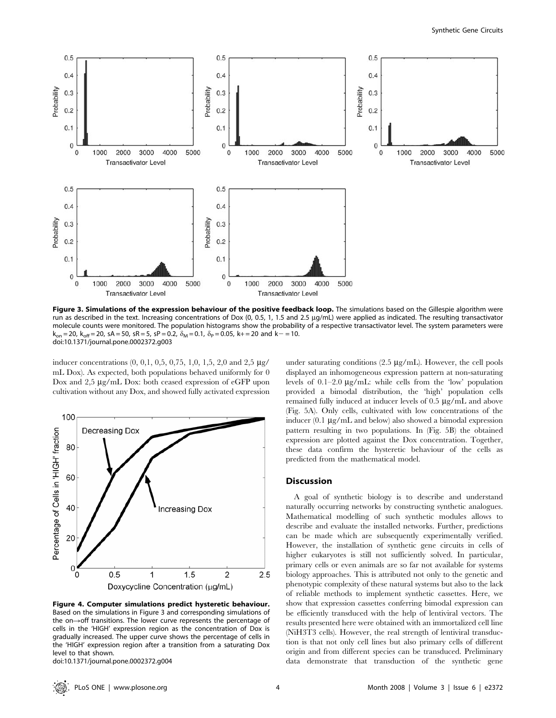

Figure 3. Simulations of the expression behaviour of the positive feedback loop. The simulations based on the Gillespie algorithm were run as described in the text. Increasing concentrations of Dox (0, 0.5, 1, 1.5 and 2.5 µg/mL) were applied as indicated. The resulting transactivator molecule counts were monitored. The population histograms show the probability of a respective transactivator level. The system parameters were  $k_{on} = 20$ ,  $k_{off} = 20$ , sA = 50, sR = 5, sP = 0.2,  $\delta_M = 0.1$ ,  $\delta_P = 0.05$ , k + = 20 and k - = 10. doi:10.1371/journal.pone.0002372.g003

inducer concentrations  $(0, 0, 1, 0, 5, 0, 75, 1, 0, 1, 5, 2, 0, 0, 1, 2, 5, \mu g)$ mL Dox). As expected, both populations behaved uniformly for 0 Dox and  $2.5 \mu g/mL$  Dox: both ceased expression of eGFP upon cultivation without any Dox, and showed fully activated expression



Figure 4. Computer simulations predict hysteretic behaviour. Based on the simulations in Figure 3 and corresponding simulations of the on $\rightarrow$ off transitions. The lower curve represents the percentage of cells in the 'HIGH' expression region as the concentration of Dox is gradually increased. The upper curve shows the percentage of cells in the 'HIGH' expression region after a transition from a saturating Dox level to that shown. doi:10.1371/journal.pone.0002372.g004

under saturating conditions  $(2.5 \mu g/mL)$ . However, the cell pools displayed an inhomogeneous expression pattern at non-saturating levels of  $0.1-2.0 \mu g/mL$ : while cells from the 'low' population provided a bimodal distribution, the 'high' population cells remained fully induced at inducer levels of  $0.5 \mu g/mL$  and above (Fig. 5A). Only cells, cultivated with low concentrations of the inducer  $(0.1 \mu g/mL$  and below) also showed a bimodal expression pattern resulting in two populations. In (Fig. 5B) the obtained expression are plotted against the Dox concentration. Together, these data confirm the hysteretic behaviour of the cells as predicted from the mathematical model.

## **Discussion**

A goal of synthetic biology is to describe and understand naturally occurring networks by constructing synthetic analogues. Mathematical modelling of such synthetic modules allows to describe and evaluate the installed networks. Further, predictions can be made which are subsequently experimentally verified. However, the installation of synthetic gene circuits in cells of higher eukaryotes is still not sufficiently solved. In particular, primary cells or even animals are so far not available for systems biology approaches. This is attributed not only to the genetic and phenotypic complexity of these natural systems but also to the lack of reliable methods to implement synthetic cassettes. Here, we show that expression cassettes conferring bimodal expression can be efficiently transduced with the help of lentiviral vectors. The results presented here were obtained with an immortalized cell line (NiH3T3 cells). However, the real strength of lentiviral transduction is that not only cell lines but also primary cells of different origin and from different species can be transduced. Preliminary data demonstrate that transduction of the synthetic gene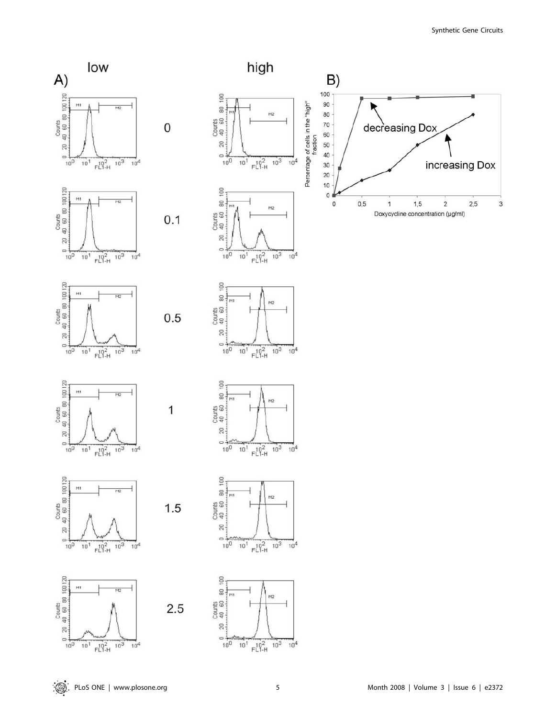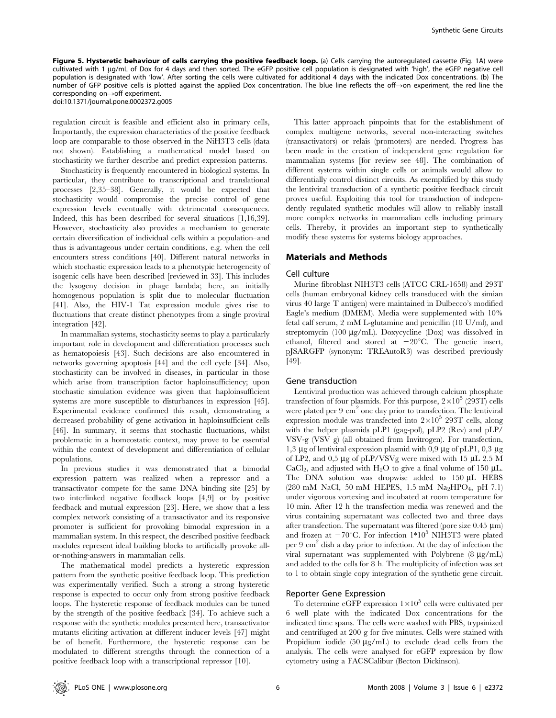Figure 5. Hysteretic behaviour of cells carrying the positive feedback loop. (a) Cells carrying the autoregulated cassette (Fig. 1A) were cultivated with 1 µg/mL of Dox for 4 days and then sorted. The eGFP positive cell population is designated with 'high', the eGFP negative cell population is designated with 'low'. After sorting the cells were cultivated for additional 4 days with the indicated Dox concentrations. (b) The number of GFP positive cells is plotted against the applied Dox concentration. The blue line reflects the off->on experiment, the red line the  $corresponding on \rightarrow off even$ doi:10.1371/journal.pone.0002372.g005

regulation circuit is feasible and efficient also in primary cells, Importantly, the expression characteristics of the positive feedback loop are comparable to those observed in the NiH3T3 cells (data not shown). Establishing a mathematical model based on stochasticity we further describe and predict expression patterns.

Stochasticity is frequently encountered in biological systems. In particular, they contribute to transcriptional and translational processes [2,35–38]. Generally, it would be expected that stochasticity would compromise the precise control of gene expression levels eventually with detrimental consequences. Indeed, this has been described for several situations [1,16,39]. However, stochasticity also provides a mechanism to generate certain diversification of individual cells within a population–and thus is advantageous under certain conditions, e.g. when the cell encounters stress conditions [40]. Different natural networks in which stochastic expression leads to a phenotypic heterogeneity of isogenic cells have been described [reviewed in 33]. This includes the lysogeny decision in phage lambda; here, an initially homogenous population is split due to molecular fluctuation [41]. Also, the HIV-1 Tat expression module gives rise to fluctuations that create distinct phenotypes from a single proviral integration [42].

In mammalian systems, stochasticity seems to play a particularly important role in development and differentiation processes such as hematopoiesis [43]. Such decisions are also encountered in networks governing apoptosis [44] and the cell cycle [34]. Also, stochasticity can be involved in diseases, in particular in those which arise from transcription factor haploinsufficiency; upon stochastic simulation evidence was given that haploinsufficient systems are more susceptible to disturbances in expression [45]. Experimental evidence confirmed this result, demonstrating a decreased probability of gene activation in haploinsufficient cells [46]. In summary, it seems that stochastic fluctuations, whilst problematic in a homeostatic context, may prove to be essential within the context of development and differentiation of cellular populations.

In previous studies it was demonstrated that a bimodal expression pattern was realized when a repressor and a transactivator compete for the same DNA binding site [25] by two interlinked negative feedback loops [4,9] or by positive feedback and mutual expression [23]. Here, we show that a less complex network consisting of a transactivator and its responsive promoter is sufficient for provoking bimodal expression in a mammalian system. In this respect, the described positive feedback modules represent ideal building blocks to artificially provoke allor-nothing-answers in mammalian cells.

The mathematical model predicts a hysteretic expression pattern from the synthetic positive feedback loop. This prediction was experimentally verified. Such a strong a strong hysteretic response is expected to occur only from strong positive feedback loops. The hysteretic response of feedback modules can be tuned by the strength of the positive feedback [34]. To achieve such a response with the synthetic modules presented here, transactivator mutants eliciting activation at different inducer levels [47] might be of benefit. Furthermore, the hysteretic response can be modulated to different strengths through the connection of a positive feedback loop with a transcriptional repressor [10].

This latter approach pinpoints that for the establishment of complex multigene networks, several non-interacting switches (transactivators) or relais (promoters) are needed. Progress has been made in the creation of independent gene regulation for mammalian systems [for review see 48]. The combination of different systems within single cells or animals would allow to differentially control distinct circuits. As exemplified by this study the lentiviral transduction of a synthetic positive feedback circuit proves useful. Exploiting this tool for transduction of independently regulated synthetic modules will allow to reliably install more complex networks in mammalian cells including primary cells. Thereby, it provides an important step to synthetically modify these systems for systems biology approaches.

## Materials and Methods

#### Cell culture

Murine fibroblast NIH3T3 cells (ATCC CRL-1658) and 293T cells (human embryonal kidney cells transduced with the simian virus 40 large T antigen) were maintained in Dulbecco's modified Eagle's medium (DMEM). Media were supplemented with 10% fetal calf serum, 2 mM L-glutamine and penicillin (10 U/ml), and streptomycin (100 µg/mL). Doxycycline (Dox) was dissolved in ethanol, filtered and stored at  $-20^{\circ}$ C. The genetic insert, pJSARGFP (synonym: TREAutoR3) was described previously [49].

## Gene transduction

Lentiviral production was achieved through calcium phosphate transfection of four plasmids. For this purpose,  $2\times10^5$  (293T) cells were plated per  $9 \text{ cm}^2$  one day prior to transfection. The lentiviral expression module was transfected into  $2\times10^5$  293T cells, along with the helper plasmids pLP1 (gag-pol), pLP2 (Rev) and pLP/ VSV-g (VSV g) (all obtained from Invitrogen). For transfection, 1,3  $\mu$ g of lentiviral expression plasmid with 0,9  $\mu$ g of pLP1, 0,3  $\mu$ g of LP2, and 0,5  $\mu$ g of pLP/VSVg were mixed with 15  $\mu$ L 2.5 M CaCl<sub>2</sub>, and adjusted with H<sub>2</sub>O to give a final volume of 150  $\mu$ L. The DNA solution was dropwise added to  $150 \mu L$  HEBS  $(280 \text{ mM NaCl}, 50 \text{ mM HEPES}, 1.5 \text{ mM Na}_2\text{HPO}_4, \text{ pH } 7.1)$ under vigorous vortexing and incubated at room temperature for 10 min. After 12 h the transfection media was renewed and the virus containing supernatant was collected two and three days after transfection. The supernatant was filtered (pore size  $0.45 \mu m$ ) and frozen at  $-70^{\circ}$ C. For infection 1\*10<sup>5</sup> NIH3T3 were plated per  $9 \text{ cm}^2$  dish a day prior to infection. At the day of infection the viral supernatant was supplemented with Polybrene  $(8 \mu g/mL)$ and added to the cells for 8 h. The multiplicity of infection was set to 1 to obtain single copy integration of the synthetic gene circuit.

#### Reporter Gene Expression

To determine eGFP expression  $1\times10^5$  cells were cultivated per 6 well plate with the indicated Dox concentrations for the indicated time spans. The cells were washed with PBS, trypsinized and centrifuged at 200 g for five minutes. Cells were stained with Propidium iodide  $(50 \text{ }\mu\text{g/mL})$  to exclude dead cells from the analysis. The cells were analysed for eGFP expression by flow cytometry using a FACSCalibur (Becton Dickinson).